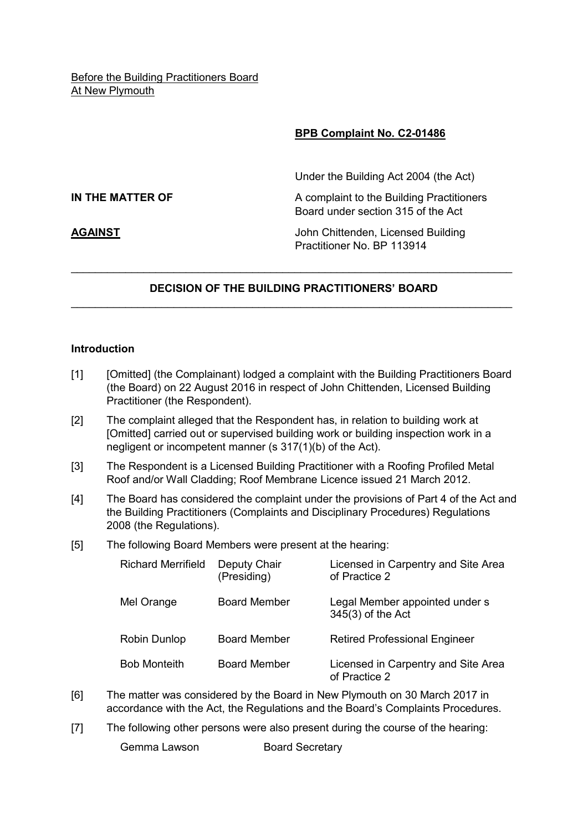# **BPB Complaint No. C2-01486**

Under the Building Act 2004 (the Act)

**IN THE MATTER OF** A complaint to the Building Practitioners Board under section 315 of the Act

**AGAINST** John Chittenden, Licensed Building Practitioner No. BP 113914

# **DECISION OF THE BUILDING PRACTITIONERS' BOARD**  \_\_\_\_\_\_\_\_\_\_\_\_\_\_\_\_\_\_\_\_\_\_\_\_\_\_\_\_\_\_\_\_\_\_\_\_\_\_\_\_\_\_\_\_\_\_\_\_\_\_\_\_\_\_\_\_\_\_\_\_\_\_\_\_\_\_\_\_\_\_\_\_\_

\_\_\_\_\_\_\_\_\_\_\_\_\_\_\_\_\_\_\_\_\_\_\_\_\_\_\_\_\_\_\_\_\_\_\_\_\_\_\_\_\_\_\_\_\_\_\_\_\_\_\_\_\_\_\_\_\_\_\_\_\_\_\_\_\_\_\_\_\_\_\_\_\_

## **Introduction**

- [1] [Omitted] (the Complainant) lodged a complaint with the Building Practitioners Board (the Board) on 22 August 2016 in respect of John Chittenden, Licensed Building Practitioner (the Respondent).
- [2] The complaint alleged that the Respondent has, in relation to building work at [Omitted] carried out or supervised building work or building inspection work in a negligent or incompetent manner (s 317(1)(b) of the Act).
- [3] The Respondent is a Licensed Building Practitioner with a Roofing Profiled Metal Roof and/or Wall Cladding; Roof Membrane Licence issued 21 March 2012.
- [4] The Board has considered the complaint under the provisions of Part 4 of the Act and the Building Practitioners (Complaints and Disciplinary Procedures) Regulations 2008 (the Regulations).
- [5] The following Board Members were present at the hearing:

| <b>Richard Merrifield</b> | Deputy Chair<br>(Presiding) | Licensed in Carpentry and Site Area<br>of Practice 2 |
|---------------------------|-----------------------------|------------------------------------------------------|
| Mel Orange                | <b>Board Member</b>         | Legal Member appointed under s<br>345(3) of the Act  |
| Robin Dunlop              | <b>Board Member</b>         | <b>Retired Professional Engineer</b>                 |
| <b>Bob Monteith</b>       | <b>Board Member</b>         | Licensed in Carpentry and Site Area<br>of Practice 2 |

- [6] The matter was considered by the Board in New Plymouth on 30 March 2017 in accordance with the Act, the Regulations and the Board's Complaints Procedures.
- [7] The following other persons were also present during the course of the hearing:
	-

Gemma Lawson Board Secretary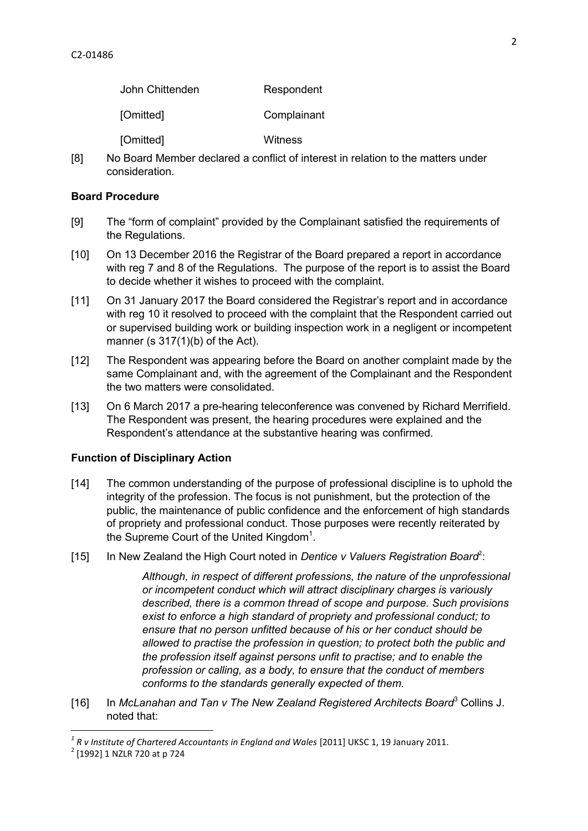| John Chittenden | Respondent  |
|-----------------|-------------|
| [Omitted]       | Complainant |
| [Omitted]       | Witness     |

[8] No Board Member declared a conflict of interest in relation to the matters under consideration.

#### **Board Procedure**

- [9] The "form of complaint" provided by the Complainant satisfied the requirements of the Regulations.
- [10] On 13 December 2016 the Registrar of the Board prepared a report in accordance with reg 7 and 8 of the Regulations. The purpose of the report is to assist the Board to decide whether it wishes to proceed with the complaint.
- [11] On 31 January 2017 the Board considered the Registrar's report and in accordance with reg 10 it resolved to proceed with the complaint that the Respondent carried out or supervised building work or building inspection work in a negligent or incompetent manner (s 317(1)(b) of the Act).
- [12] The Respondent was appearing before the Board on another complaint made by the same Complainant and, with the agreement of the Complainant and the Respondent the two matters were consolidated.
- [13] On 6 March 2017 a pre-hearing teleconference was convened by Richard Merrifield. The Respondent was present, the hearing procedures were explained and the Respondent's attendance at the substantive hearing was confirmed.

#### **Function of Disciplinary Action**

- [14] The common understanding of the purpose of professional discipline is to uphold the integrity of the profession. The focus is not punishment, but the protection of the public, the maintenance of public confidence and the enforcement of high standards of propriety and professional conduct. Those purposes were recently reiterated by the Supreme Court of the United Kingdom<sup>1</sup>.
- [15] In New Zealand the High Court noted in *Dentice v Valuers Registration Board<sup>2</sup>*:

*Although, in respect of different professions, the nature of the unprofessional or incompetent conduct which will attract disciplinary charges is variously described, there is a common thread of scope and purpose. Such provisions exist to enforce a high standard of propriety and professional conduct; to ensure that no person unfitted because of his or her conduct should be allowed to practise the profession in question; to protect both the public and the profession itself against persons unfit to practise; and to enable the profession or calling, as a body, to ensure that the conduct of members conforms to the standards generally expected of them.* 

[16] In *McLanahan and Tan v The New Zealand Registered Architects Board*<sup>3</sup> Collins J. noted that:

<sup>&</sup>lt;sup>1</sup> R v Institute of Chartered Accountants in England and Wales [2011] UKSC 1, 19 January 2011.

<sup>2</sup> [1992] 1 NZLR 720 at p 724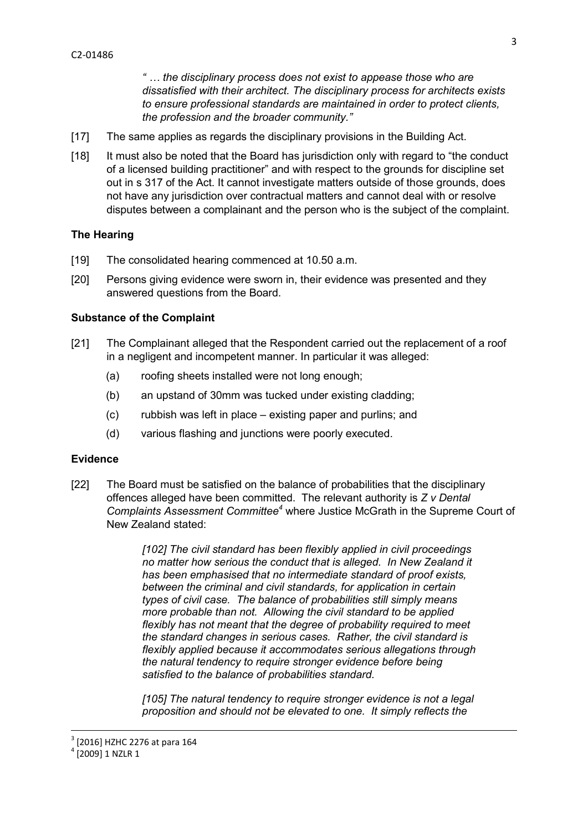*" … the disciplinary process does not exist to appease those who are dissatisfied with their architect. The disciplinary process for architects exists to ensure professional standards are maintained in order to protect clients, the profession and the broader community."* 

- [17] The same applies as regards the disciplinary provisions in the Building Act.
- [18] It must also be noted that the Board has jurisdiction only with regard to "the conduct of a licensed building practitioner" and with respect to the grounds for discipline set out in s 317 of the Act. It cannot investigate matters outside of those grounds, does not have any jurisdiction over contractual matters and cannot deal with or resolve disputes between a complainant and the person who is the subject of the complaint.

#### **The Hearing**

- [19] The consolidated hearing commenced at 10.50 a.m.
- [20] Persons giving evidence were sworn in, their evidence was presented and they answered questions from the Board.

#### **Substance of the Complaint**

- [21] The Complainant alleged that the Respondent carried out the replacement of a roof in a negligent and incompetent manner. In particular it was alleged:
	- (a) roofing sheets installed were not long enough;
	- (b) an upstand of 30mm was tucked under existing cladding;
	- (c) rubbish was left in place existing paper and purlins; and
	- (d) various flashing and junctions were poorly executed.

#### **Evidence**

[22] The Board must be satisfied on the balance of probabilities that the disciplinary offences alleged have been committed. The relevant authority is *Z v Dental Complaints Assessment Committee<sup>4</sup>* where Justice McGrath in the Supreme Court of New Zealand stated:

> *[102] The civil standard has been flexibly applied in civil proceedings no matter how serious the conduct that is alleged. In New Zealand it has been emphasised that no intermediate standard of proof exists, between the criminal and civil standards, for application in certain types of civil case. The balance of probabilities still simply means more probable than not. Allowing the civil standard to be applied flexibly has not meant that the degree of probability required to meet the standard changes in serious cases. Rather, the civil standard is flexibly applied because it accommodates serious allegations through the natural tendency to require stronger evidence before being satisfied to the balance of probabilities standard.*

> *[105] The natural tendency to require stronger evidence is not a legal proposition and should not be elevated to one. It simply reflects the*

## $^{4}$  [2009] 1 NZLR 1

<sup>3</sup> [2016] HZHC 2276 at para 164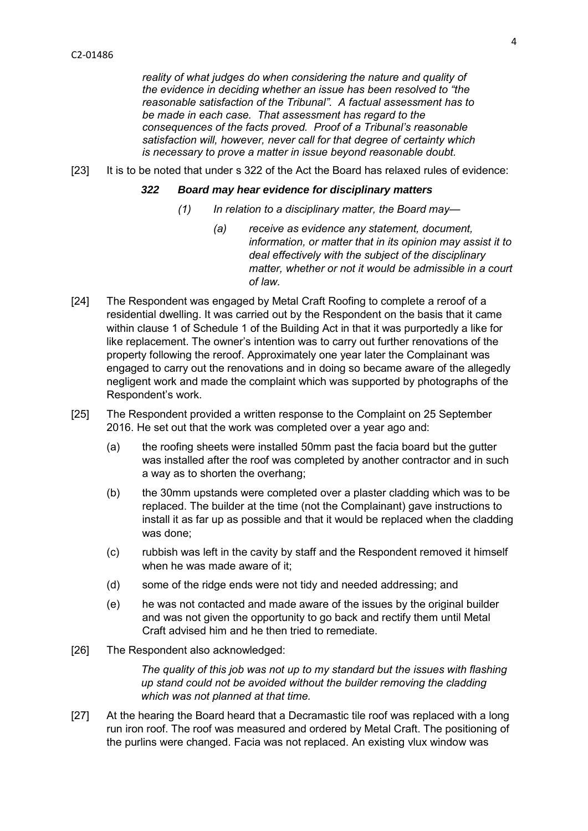*reality of what judges do when considering the nature and quality of the evidence in deciding whether an issue has been resolved to "the reasonable satisfaction of the Tribunal". A factual assessment has to be made in each case. That assessment has regard to the consequences of the facts proved. Proof of a Tribunal's reasonable satisfaction will, however, never call for that degree of certainty which is necessary to prove a matter in issue beyond reasonable doubt.* 

[23] It is to be noted that under s 322 of the Act the Board has relaxed rules of evidence:

#### *322 Board may hear evidence for disciplinary matters*

- *(1) In relation to a disciplinary matter, the Board may—* 
	- *(a) receive as evidence any statement, document, information, or matter that in its opinion may assist it to deal effectively with the subject of the disciplinary matter, whether or not it would be admissible in a court of law.*
- [24] The Respondent was engaged by Metal Craft Roofing to complete a reroof of a residential dwelling. It was carried out by the Respondent on the basis that it came within clause 1 of Schedule 1 of the Building Act in that it was purportedly a like for like replacement. The owner's intention was to carry out further renovations of the property following the reroof. Approximately one year later the Complainant was engaged to carry out the renovations and in doing so became aware of the allegedly negligent work and made the complaint which was supported by photographs of the Respondent's work.
- [25] The Respondent provided a written response to the Complaint on 25 September 2016. He set out that the work was completed over a year ago and:
	- (a) the roofing sheets were installed 50mm past the facia board but the gutter was installed after the roof was completed by another contractor and in such a way as to shorten the overhang;
	- (b) the 30mm upstands were completed over a plaster cladding which was to be replaced. The builder at the time (not the Complainant) gave instructions to install it as far up as possible and that it would be replaced when the cladding was done;
	- (c) rubbish was left in the cavity by staff and the Respondent removed it himself when he was made aware of it;
	- (d) some of the ridge ends were not tidy and needed addressing; and
	- (e) he was not contacted and made aware of the issues by the original builder and was not given the opportunity to go back and rectify them until Metal Craft advised him and he then tried to remediate.
- [26] The Respondent also acknowledged:

*The quality of this job was not up to my standard but the issues with flashing up stand could not be avoided without the builder removing the cladding which was not planned at that time.* 

[27] At the hearing the Board heard that a Decramastic tile roof was replaced with a long run iron roof. The roof was measured and ordered by Metal Craft. The positioning of the purlins were changed. Facia was not replaced. An existing vlux window was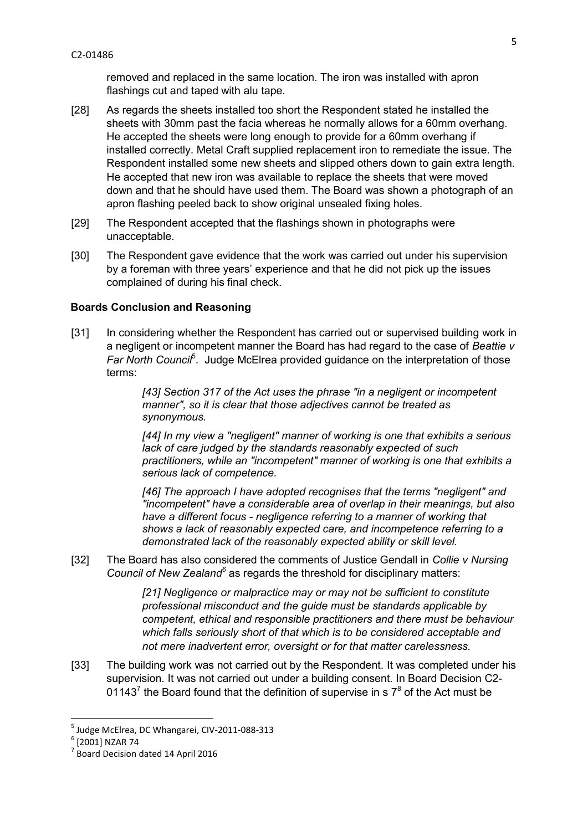removed and replaced in the same location. The iron was installed with apron flashings cut and taped with alu tape.

- [28] As regards the sheets installed too short the Respondent stated he installed the sheets with 30mm past the facia whereas he normally allows for a 60mm overhang. He accepted the sheets were long enough to provide for a 60mm overhang if installed correctly. Metal Craft supplied replacement iron to remediate the issue. The Respondent installed some new sheets and slipped others down to gain extra length. He accepted that new iron was available to replace the sheets that were moved down and that he should have used them. The Board was shown a photograph of an apron flashing peeled back to show original unsealed fixing holes.
- [29] The Respondent accepted that the flashings shown in photographs were unacceptable.
- [30] The Respondent gave evidence that the work was carried out under his supervision by a foreman with three years' experience and that he did not pick up the issues complained of during his final check.

## **Boards Conclusion and Reasoning**

[31] In considering whether the Respondent has carried out or supervised building work in a negligent or incompetent manner the Board has had regard to the case of *Beattie v*  Far North Counci<sup>f</sup>. Judge McElrea provided guidance on the interpretation of those terms:

> *[43] Section 317 of the Act uses the phrase "in a negligent or incompetent manner", so it is clear that those adjectives cannot be treated as synonymous.*

*[44] In my view a "negligent" manner of working is one that exhibits a serious lack of care judged by the standards reasonably expected of such practitioners, while an "incompetent" manner of working is one that exhibits a serious lack of competence.* 

*[46] The approach I have adopted recognises that the terms "negligent" and "incompetent" have a considerable area of overlap in their meanings, but also have a different focus - negligence referring to a manner of working that shows a lack of reasonably expected care, and incompetence referring to a demonstrated lack of the reasonably expected ability or skill level.* 

[32] The Board has also considered the comments of Justice Gendall in *Collie v Nursing*  Council of New Zealand<sup>6</sup> as regards the threshold for disciplinary matters:

> *[21] Negligence or malpractice may or may not be sufficient to constitute professional misconduct and the guide must be standards applicable by competent, ethical and responsible practitioners and there must be behaviour which falls seriously short of that which is to be considered acceptable and not mere inadvertent error, oversight or for that matter carelessness.*

[33] The building work was not carried out by the Respondent. It was completed under his supervision. It was not carried out under a building consent. In Board Decision C2- 01143<sup>7</sup> the Board found that the definition of supervise in s  $7<sup>8</sup>$  of the Act must be

<sup>5</sup> Judge McElrea, DC Whangarei, CIV-2011-088-313

<sup>6</sup> [2001] NZAR 74

<sup>&</sup>lt;sup>7</sup> Board Decision dated 14 April 2016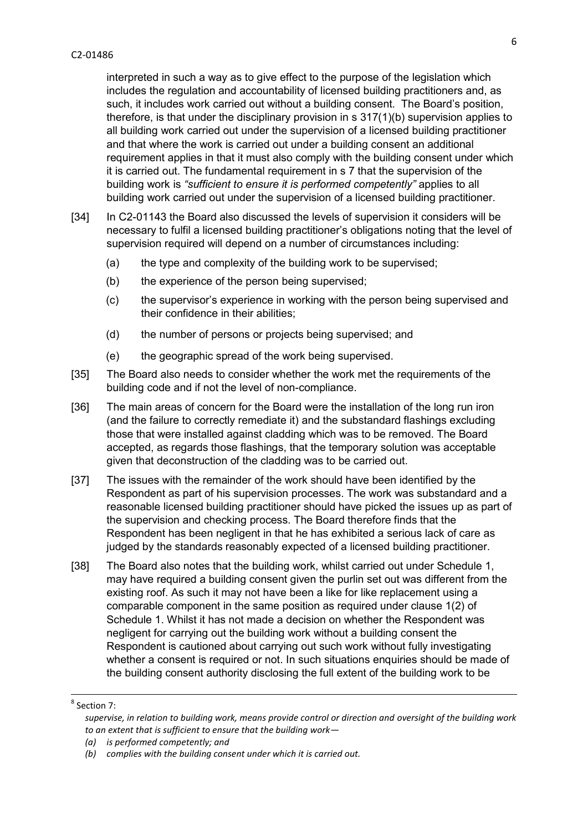interpreted in such a way as to give effect to the purpose of the legislation which includes the regulation and accountability of licensed building practitioners and, as such, it includes work carried out without a building consent. The Board's position, therefore, is that under the disciplinary provision in s 317(1)(b) supervision applies to all building work carried out under the supervision of a licensed building practitioner and that where the work is carried out under a building consent an additional requirement applies in that it must also comply with the building consent under which it is carried out. The fundamental requirement in s 7 that the supervision of the building work is *"sufficient to ensure it is performed competently"* applies to all building work carried out under the supervision of a licensed building practitioner.

- [34] In C2-01143 the Board also discussed the levels of supervision it considers will be necessary to fulfil a licensed building practitioner's obligations noting that the level of supervision required will depend on a number of circumstances including:
	- (a) the type and complexity of the building work to be supervised;
	- (b) the experience of the person being supervised;
	- (c) the supervisor's experience in working with the person being supervised and their confidence in their abilities;
	- (d) the number of persons or projects being supervised; and
	- (e) the geographic spread of the work being supervised.
- [35] The Board also needs to consider whether the work met the requirements of the building code and if not the level of non-compliance.
- [36] The main areas of concern for the Board were the installation of the long run iron (and the failure to correctly remediate it) and the substandard flashings excluding those that were installed against cladding which was to be removed. The Board accepted, as regards those flashings, that the temporary solution was acceptable given that deconstruction of the cladding was to be carried out.
- [37] The issues with the remainder of the work should have been identified by the Respondent as part of his supervision processes. The work was substandard and a reasonable licensed building practitioner should have picked the issues up as part of the supervision and checking process. The Board therefore finds that the Respondent has been negligent in that he has exhibited a serious lack of care as judged by the standards reasonably expected of a licensed building practitioner.
- [38] The Board also notes that the building work, whilst carried out under Schedule 1, may have required a building consent given the purlin set out was different from the existing roof. As such it may not have been a like for like replacement using a comparable component in the same position as required under clause 1(2) of Schedule 1. Whilst it has not made a decision on whether the Respondent was negligent for carrying out the building work without a building consent the Respondent is cautioned about carrying out such work without fully investigating whether a consent is required or not. In such situations enquiries should be made of the building consent authority disclosing the full extent of the building work to be

 $\overline{\phantom{a}}$ 

<sup>8</sup> Section 7:

*supervise, in relation to building work, means provide control or direction and oversight of the building work to an extent that is sufficient to ensure that the building work—*

*<sup>(</sup>a) is performed competently; and* 

*<sup>(</sup>b) complies with the building consent under which it is carried out.*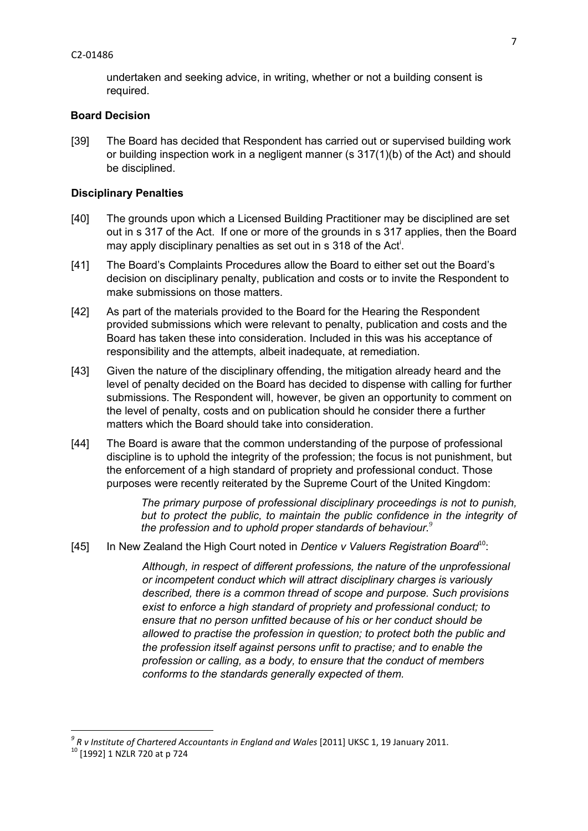#### C2-01486

undertaken and seeking advice, in writing, whether or not a building consent is required.

#### **Board Decision**

[39] The Board has decided that Respondent has carried out or supervised building work or building inspection work in a negligent manner (s 317(1)(b) of the Act) and should be disciplined.

#### **Disciplinary Penalties**

- [40] The grounds upon which a Licensed Building Practitioner may be disciplined are set out in s 317 of the Act. If one or more of the grounds in s 317 applies, then the Board may apply disciplinary penalties as set out in s 318 of the Act<sup>i</sup>.
- [41] The Board's Complaints Procedures allow the Board to either set out the Board's decision on disciplinary penalty, publication and costs or to invite the Respondent to make submissions on those matters.
- [42] As part of the materials provided to the Board for the Hearing the Respondent provided submissions which were relevant to penalty, publication and costs and the Board has taken these into consideration. Included in this was his acceptance of responsibility and the attempts, albeit inadequate, at remediation.
- [43] Given the nature of the disciplinary offending, the mitigation already heard and the level of penalty decided on the Board has decided to dispense with calling for further submissions. The Respondent will, however, be given an opportunity to comment on the level of penalty, costs and on publication should he consider there a further matters which the Board should take into consideration.
- [44] The Board is aware that the common understanding of the purpose of professional discipline is to uphold the integrity of the profession; the focus is not punishment, but the enforcement of a high standard of propriety and professional conduct. Those purposes were recently reiterated by the Supreme Court of the United Kingdom:

*The primary purpose of professional disciplinary proceedings is not to punish, but to protect the public, to maintain the public confidence in the integrity of the profession and to uphold proper standards of behaviour. 9*

[45] In New Zealand the High Court noted in *Dentice v Valuers Registration Board*<sup>10</sup>:

*Although, in respect of different professions, the nature of the unprofessional or incompetent conduct which will attract disciplinary charges is variously described, there is a common thread of scope and purpose. Such provisions exist to enforce a high standard of propriety and professional conduct; to ensure that no person unfitted because of his or her conduct should be allowed to practise the profession in question; to protect both the public and the profession itself against persons unfit to practise; and to enable the profession or calling, as a body, to ensure that the conduct of members conforms to the standards generally expected of them.* 

 *9 R v Institute of Chartered Accountants in England and Wales* [2011] UKSC 1, 19 January 2011.

<sup>10</sup> [1992] 1 NZLR 720 at p 724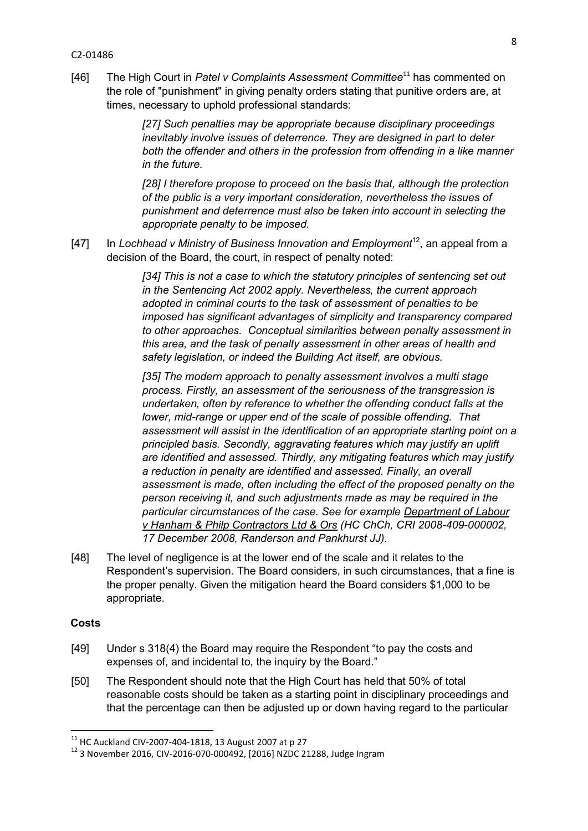#### C2-01486

[46] The High Court in *Patel v Complaints Assessment Committee*<sup>11</sup> has commented on the role of "punishment" in giving penalty orders stating that punitive orders are, at times, necessary to uphold professional standards:

> *[27] Such penalties may be appropriate because disciplinary proceedings inevitably involve issues of deterrence. They are designed in part to deter both the offender and others in the profession from offending in a like manner in the future.*

*[28] I therefore propose to proceed on the basis that, although the protection of the public is a very important consideration, nevertheless the issues of punishment and deterrence must also be taken into account in selecting the appropriate penalty to be imposed.* 

[47] In *Lochhead v Ministry of Business Innovation and Employment*<sup>12</sup>, an appeal from a decision of the Board, the court, in respect of penalty noted:

> *[34] This is not a case to which the statutory principles of sentencing set out in the Sentencing Act 2002 apply. Nevertheless, the current approach adopted in criminal courts to the task of assessment of penalties to be imposed has significant advantages of simplicity and transparency compared to other approaches. Conceptual similarities between penalty assessment in this area, and the task of penalty assessment in other areas of health and safety legislation, or indeed the Building Act itself, are obvious.*

*[35] The modern approach to penalty assessment involves a multi stage process. Firstly, an assessment of the seriousness of the transgression is undertaken, often by reference to whether the offending conduct falls at the lower, mid-range or upper end of the scale of possible offending. That assessment will assist in the identification of an appropriate starting point on a principled basis. Secondly, aggravating features which may justify an uplift are identified and assessed. Thirdly, any mitigating features which may justify a reduction in penalty are identified and assessed. Finally, an overall assessment is made, often including the effect of the proposed penalty on the person receiving it, and such adjustments made as may be required in the particular circumstances of the case. See for example Department of Labour v Hanham & Philp Contractors Ltd & Ors (HC ChCh, CRI 2008-409-000002, 17 December 2008, Randerson and Pankhurst JJ).* 

[48] The level of negligence is at the lower end of the scale and it relates to the Respondent's supervision. The Board considers, in such circumstances, that a fine is the proper penalty. Given the mitigation heard the Board considers \$1,000 to be appropriate.

## **Costs**

- [49] Under s 318(4) the Board may require the Respondent "to pay the costs and expenses of, and incidental to, the inquiry by the Board."
- [50] The Respondent should note that the High Court has held that 50% of total reasonable costs should be taken as a starting point in disciplinary proceedings and that the percentage can then be adjusted up or down having regard to the particular

 $11$  HC Auckland CIV-2007-404-1818, 13 August 2007 at p 27

<sup>12</sup> 3 November 2016, CIV-2016-070-000492, [2016] NZDC 21288, Judge Ingram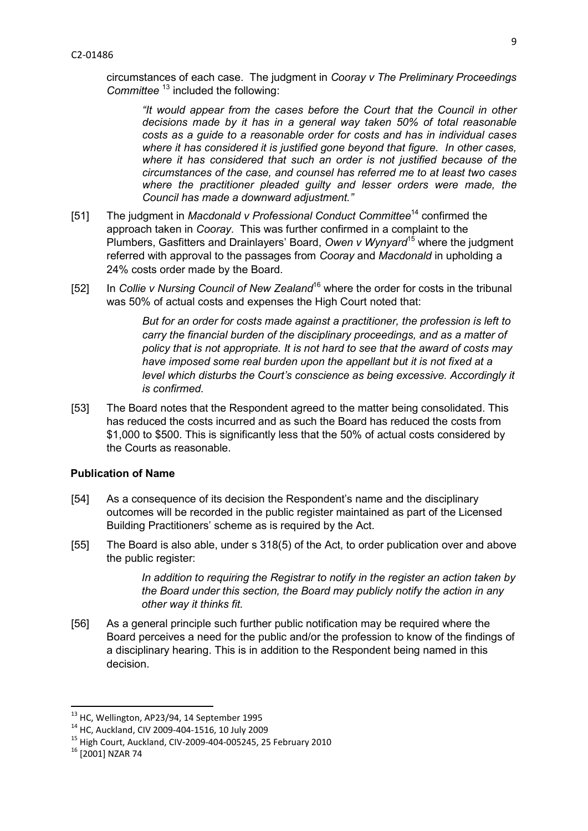circumstances of each case. The judgment in *Cooray v The Preliminary Proceedings Committee* <sup>13</sup> included the following:

*"It would appear from the cases before the Court that the Council in other decisions made by it has in a general way taken 50% of total reasonable costs as a guide to a reasonable order for costs and has in individual cases where it has considered it is justified gone beyond that figure. In other cases, where it has considered that such an order is not justified because of the circumstances of the case, and counsel has referred me to at least two cases where the practitioner pleaded guilty and lesser orders were made, the Council has made a downward adjustment."* 

- [51] The judgment in *Macdonald v Professional Conduct Committee*<sup>14</sup> confirmed the approach taken in *Cooray*. This was further confirmed in a complaint to the Plumbers, Gasfitters and Drainlayers' Board, *Owen v Wynyard*<sup>15</sup> where the judgment referred with approval to the passages from *Cooray* and *Macdonald* in upholding a 24% costs order made by the Board.
- [52] In *Collie v Nursing Council of New Zealand*<sup>16</sup> where the order for costs in the tribunal was 50% of actual costs and expenses the High Court noted that:

*But for an order for costs made against a practitioner, the profession is left to carry the financial burden of the disciplinary proceedings, and as a matter of policy that is not appropriate. It is not hard to see that the award of costs may have imposed some real burden upon the appellant but it is not fixed at a level which disturbs the Court's conscience as being excessive. Accordingly it is confirmed.* 

[53] The Board notes that the Respondent agreed to the matter being consolidated. This has reduced the costs incurred and as such the Board has reduced the costs from \$1,000 to \$500. This is significantly less that the 50% of actual costs considered by the Courts as reasonable.

## **Publication of Name**

- [54] As a consequence of its decision the Respondent's name and the disciplinary outcomes will be recorded in the public register maintained as part of the Licensed Building Practitioners' scheme as is required by the Act.
- [55] The Board is also able, under s 318(5) of the Act, to order publication over and above the public register:

*In addition to requiring the Registrar to notify in the register an action taken by the Board under this section, the Board may publicly notify the action in any other way it thinks fit.* 

[56] As a general principle such further public notification may be required where the Board perceives a need for the public and/or the profession to know of the findings of a disciplinary hearing. This is in addition to the Respondent being named in this decision.

<sup>&</sup>lt;sup>13</sup> HC, Wellington, AP23/94, 14 September 1995

<sup>14</sup> HC, Auckland, CIV 2009-404-1516, 10 July 2009

<sup>15</sup> High Court, Auckland, CIV-2009-404-005245, 25 February 2010

<sup>16</sup> [2001] NZAR 74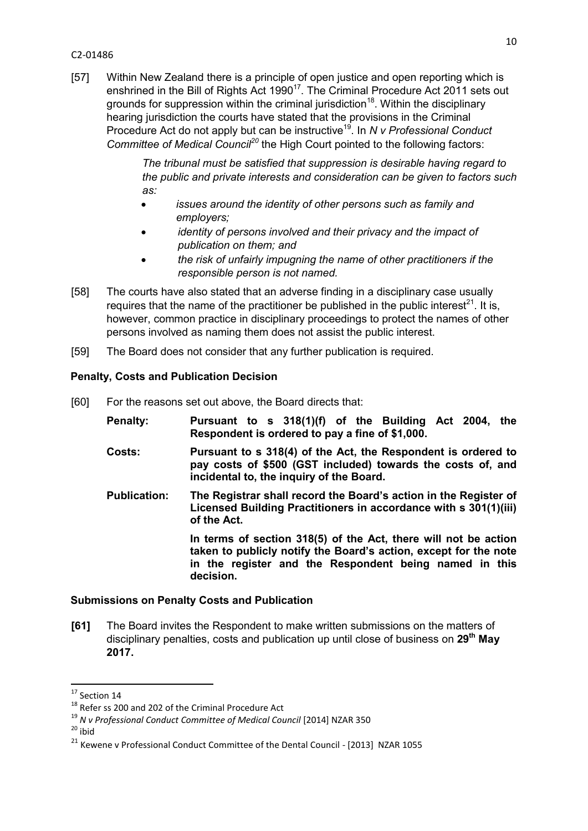#### C2-01486

[57] Within New Zealand there is a principle of open justice and open reporting which is enshrined in the Bill of Rights Act 1990<sup>17</sup>. The Criminal Procedure Act 2011 sets out grounds for suppression within the criminal jurisdiction<sup>18</sup>. Within the disciplinary hearing jurisdiction the courts have stated that the provisions in the Criminal Procedure Act do not apply but can be instructive<sup>19</sup>. In *N v Professional Conduct Committee of Medical Council<sup>20</sup>* the High Court pointed to the following factors:

> *The tribunal must be satisfied that suppression is desirable having regard to the public and private interests and consideration can be given to factors such as:*

- *issues around the identity of other persons such as family and employers;*
- *identity of persons involved and their privacy and the impact of publication on them; and*
- *the risk of unfairly impugning the name of other practitioners if the responsible person is not named.*
- [58] The courts have also stated that an adverse finding in a disciplinary case usually requires that the name of the practitioner be published in the public interest<sup>21</sup>. It is, however, common practice in disciplinary proceedings to protect the names of other persons involved as naming them does not assist the public interest.
- [59] The Board does not consider that any further publication is required.

# **Penalty, Costs and Publication Decision**

- [60] For the reasons set out above, the Board directs that:
	- **Penalty: Pursuant to s 318(1)(f) of the Building Act 2004, the Respondent is ordered to pay a fine of \$1,000.**
	- **Costs: Pursuant to s 318(4) of the Act, the Respondent is ordered to pay costs of \$500 (GST included) towards the costs of, and incidental to, the inquiry of the Board.**
	- **Publication: The Registrar shall record the Board's action in the Register of Licensed Building Practitioners in accordance with s 301(1)(iii) of the Act.**

**In terms of section 318(5) of the Act, there will not be action taken to publicly notify the Board's action, except for the note in the register and the Respondent being named in this decision.** 

# **Submissions on Penalty Costs and Publication**

**[61]** The Board invites the Respondent to make written submissions on the matters of disciplinary penalties, costs and publication up until close of business on **29th May 2017.** 

 $20$  ibid

1

 $17$  Section 14

<sup>&</sup>lt;sup>18</sup> Refer ss 200 and 202 of the Criminal Procedure Act

<sup>19</sup> *N v Professional Conduct Committee of Medical Council* [2014] NZAR 350

<sup>&</sup>lt;sup>21</sup> Kewene v Professional Conduct Committee of the Dental Council - [2013] NZAR 1055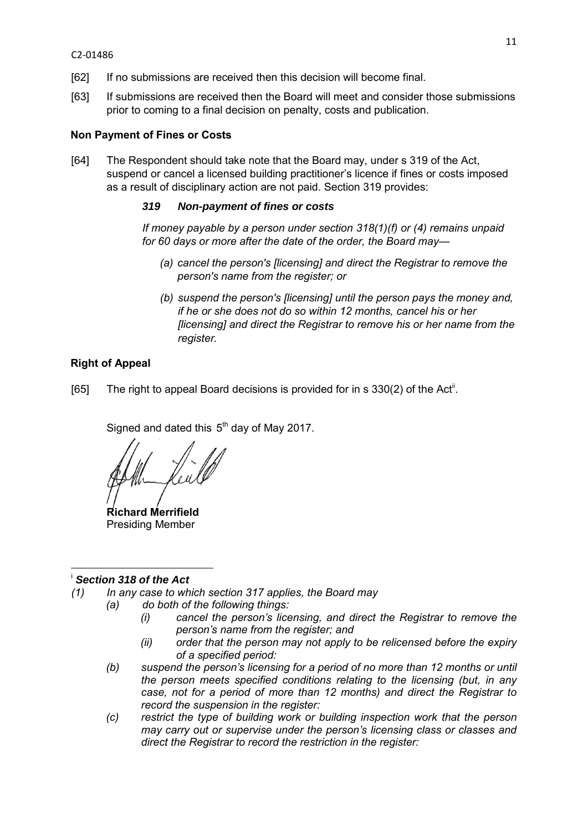- [62] If no submissions are received then this decision will become final.
- [63] If submissions are received then the Board will meet and consider those submissions prior to coming to a final decision on penalty, costs and publication.

## **Non Payment of Fines or Costs**

[64] The Respondent should take note that the Board may, under s 319 of the Act, suspend or cancel a licensed building practitioner's licence if fines or costs imposed as a result of disciplinary action are not paid. Section 319 provides:

## *319 Non-payment of fines or costs*

*If money payable by a person under section [318\(1\)\(f\)](http://www.westlaw.co.nz/maf/wlnz/app/document?docguid=Idfae01b4e12411e08eefa443f89988a0&&src=rl&hitguid=I59f403d1e03411e08eefa443f89988a0&snippets=true&startChunk=1&endChunk=1&isTocNav=true&tocDs=AUNZ_NZ_LEGCOMM_TOC#anchor_I59f403d1e03411e08eefa443f89988a0) or [\(4\)](http://www.westlaw.co.nz/maf/wlnz/app/document?docguid=Idfae01b4e12411e08eefa443f89988a0&&src=rl&hitguid=I59f40431e03411e08eefa443f89988a0&snippets=true&startChunk=1&endChunk=1&isTocNav=true&tocDs=AUNZ_NZ_LEGCOMM_TOC#anchor_I59f40431e03411e08eefa443f89988a0) remains unpaid for 60 days or more after the date of the order, the Board may—* 

- *(a) cancel the person's [licensing] and direct the Registrar to remove the person's name from the register; or*
- *(b) suspend the person's [licensing] until the person pays the money and, if he or she does not do so within 12 months, cancel his or her [licensing] and direct the Registrar to remove his or her name from the register.*

# **Right of Appeal**

[65] The right to appeal Board decisions is provided for in s  $330(2)$  of the Act<sup>ii</sup>.

Signed and dated this  $5<sup>th</sup>$  day of May 2017.

**Richard Merrifield**  Presiding Member

#### **.** <sup>i</sup> *Section 318 of the Act*

- *(1) In any case to which section 317 applies, the Board may* 
	- *(a) do both of the following things:* 
		- *(i) cancel the person's licensing, and direct the Registrar to remove the person's name from the register; and*
		- *(ii) order that the person may not apply to be relicensed before the expiry of a specified period:*
	- *(b) suspend the person's licensing for a period of no more than 12 months or until the person meets specified conditions relating to the licensing (but, in any case, not for a period of more than 12 months) and direct the Registrar to record the suspension in the register:*
	- *(c) restrict the type of building work or building inspection work that the person may carry out or supervise under the person's licensing class or classes and direct the Registrar to record the restriction in the register:*